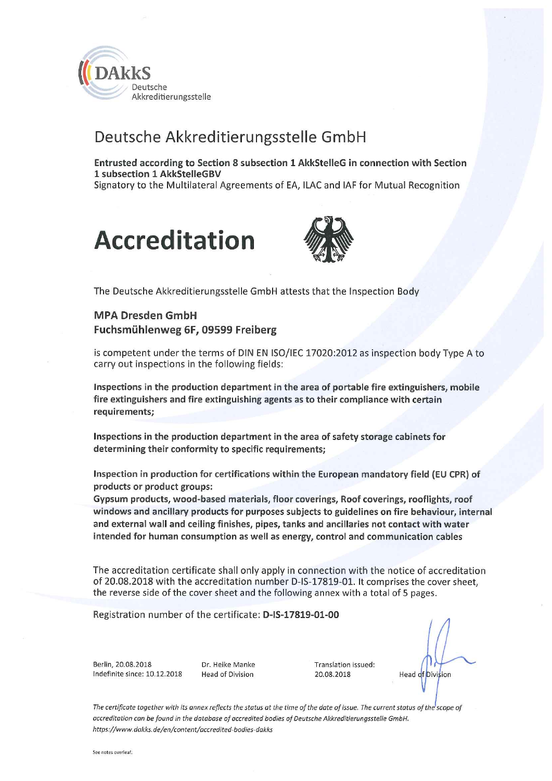

## Deutsche Akkreditierungsstelle GmbH

Entrusted according to Section 8 subsection 1 AkkStelleG in connection with Section 1 subsection 1 AkkStelleGBV Signatory to the Multilateral Agreements of EA, ILAC and IAF for Mutual Recognition





The Deutsche Akkreditierungsstelle GmbH attests that the Inspection Body

### **MPA Dresden GmbH** Fuchsmühlenweg 6F, 09599 Freiberg

is competent under the terms of DIN EN ISO/IEC 17020:2012 as inspection body Type A to carry out inspections in the following fields:

Inspections in the production department in the area of portable fire extinguishers, mobile fire extinguishers and fire extinguishing agents as to their compliance with certain requirements;

Inspections in the production department in the area of safety storage cabinets for determining their conformity to specific requirements;

Inspection in production for certifications within the European mandatory field (EU CPR) of products or product groups:

Gypsum products, wood-based materials, floor coverings, Roof coverings, rooflights, roof windows and ancillary products for purposes subjects to guidelines on fire behaviour, internal and external wall and ceiling finishes, pipes, tanks and ancillaries not contact with water intended for human consumption as well as energy, control and communication cables

The accreditation certificate shall only apply in connection with the notice of accreditation of 20.08.2018 with the accreditation number D-IS-17819-01. It comprises the cover sheet, the reverse side of the cover sheet and the following annex with a total of 5 pages.

Registration number of the certificate: D-IS-17819-01-00

Berlin, 20.08.2018 Indefinite since: 10.12.2018 Dr. Heike Manke **Head of Division** 

Translation issued: 20.08.2018

Head of Division

The certificate together with its annex reflects the status at the time of the date of issue. The current status of the scope of accreditation can be found in the database of accredited bodies of Deutsche Akkreditierungsstelle GmbH. https://www.dakks.de/en/content/accredited-bodies-dakks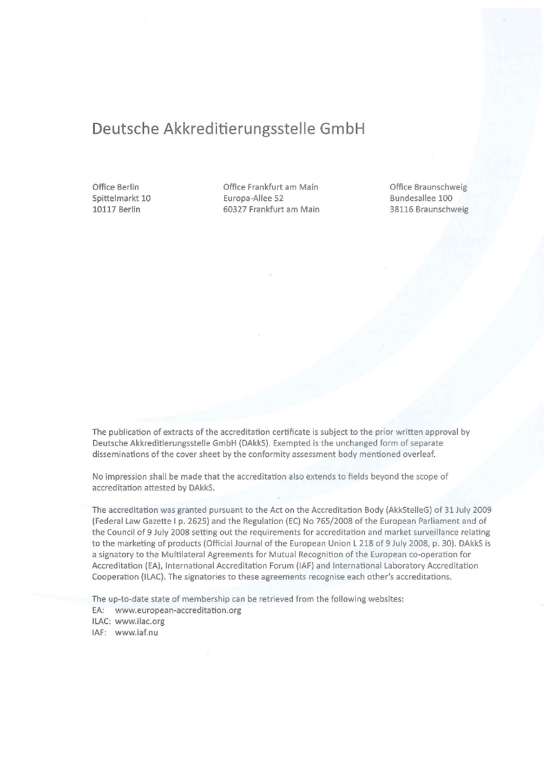### Deutsche Akkreditierungsstelle GmbH

Office Berlin Spittelmarkt 10 10117 Berlin

Office Frankfurt am Main Europa-Allee 52 60327 Frankfurt am Main Office Braunschweig Bundesallee 100 38116 Braunschweig

The publication of extracts of the accreditation certificate is subject to the prior written approval by Deutsche Akkreditierungsstelle GmbH (DAkkS). Exempted is the unchanged form of separate disseminations of the cover sheet by the conformity assessment body mentioned overleaf.

No impression shall be made that the accreditation also extends to fields beyond the scope of accreditation attested by DAkkS.

The accreditation was granted pursuant to the Act on the Accreditation Body (AkkStelleG) of 31 July 2009 (Federal Law Gazette I p. 2625) and the Regulation (EC) No 765/2008 of the European Parliament and of the Council of 9 July 2008 setting out the requirements for accreditation and market surveillance relating to the marketing of products (Official Journal of the European Union L 218 of 9 July 2008, p. 30). DAkkS is a signatory to the Multilateral Agreements for Mutual Recognition of the European co-operation for Accreditation (EA), International Accreditation Forum (IAF) and International Laboratory Accreditation Cooperation (ILAC). The signatories to these agreements recognise each other's accreditations.

The up-to-date state of membership can be retrieved from the following websites:

EA: www.european-accreditation.org

ILAC: www.ilac.org

IAF: www.iaf.nu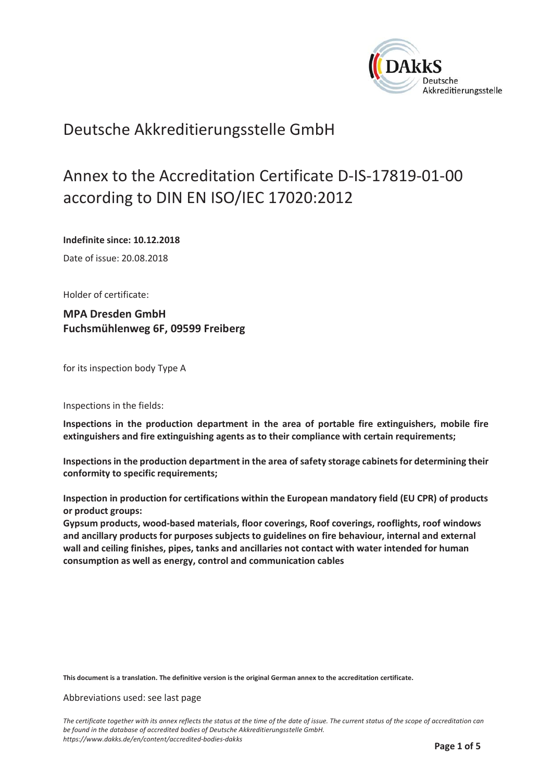

### Deutsche Akkreditierungsstelle GmbH

# Annex to the Accreditation Certificate D-IS-17819-01-00 according to DIN EN ISO/IEC 17020:2012

Indefinite since: 10.12.2018

Date of issue: 20.08.2018

Holder of certificate:

**MPA Dresden GmbH** Fuchsmühlenweg 6F, 09599 Freiberg

for its inspection body Type A

Inspections in the fields:

Inspections in the production department in the area of portable fire extinguishers, mobile fire extinguishers and fire extinguishing agents as to their compliance with certain requirements;

Inspections in the production department in the area of safety storage cabinets for determining their conformity to specific requirements;

Inspection in production for certifications within the European mandatory field (EU CPR) of products or product groups:

Gypsum products, wood-based materials, floor coverings, Roof coverings, rooflights, roof windows and ancillary products for purposes subjects to guidelines on fire behaviour, internal and external wall and ceiling finishes, pipes, tanks and ancillaries not contact with water intended for human consumption as well as energy, control and communication cables

This document is a translation. The definitive version is the original German annex to the accreditation certificate.

Abbreviations used: see last page

The certificate together with its annex reflects the status at the time of the date of issue. The current status of the scope of accreditation can be found in the database of accredited bodies of Deutsche Akkreditierungsstelle GmbH. https://www.dakks.de/en/content/accredited-bodies-dakks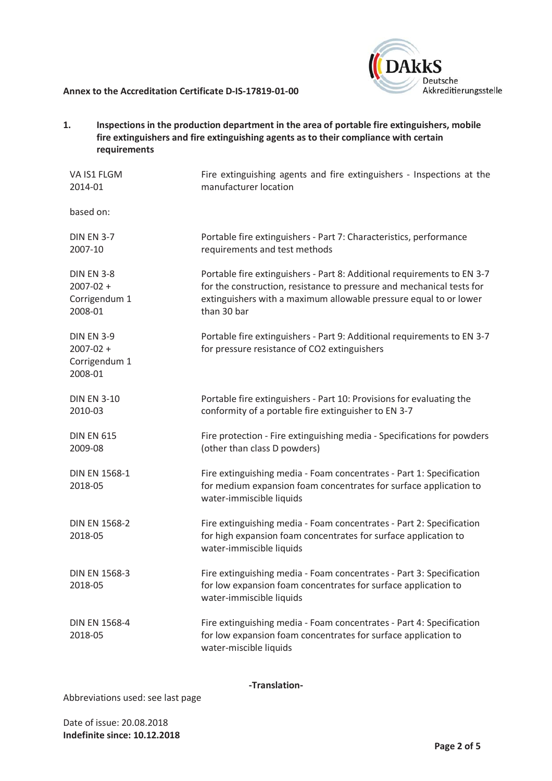

 $1.$ Inspections in the production department in the area of portable fire extinguishers, mobile fire extinguishers and fire extinguishing agents as to their compliance with certain requirements

| VA IS1 FLGM<br>2014-01                                         | Fire extinguishing agents and fire extinguishers - Inspections at the<br>manufacturer location                                                                                                                                       |
|----------------------------------------------------------------|--------------------------------------------------------------------------------------------------------------------------------------------------------------------------------------------------------------------------------------|
| based on:                                                      |                                                                                                                                                                                                                                      |
| <b>DIN EN 3-7</b><br>2007-10                                   | Portable fire extinguishers - Part 7: Characteristics, performance<br>requirements and test methods                                                                                                                                  |
| <b>DIN EN 3-8</b><br>$2007 - 02 +$<br>Corrigendum 1<br>2008-01 | Portable fire extinguishers - Part 8: Additional requirements to EN 3-7<br>for the construction, resistance to pressure and mechanical tests for<br>extinguishers with a maximum allowable pressure equal to or lower<br>than 30 bar |
| <b>DIN EN 3-9</b><br>$2007 - 02 +$<br>Corrigendum 1<br>2008-01 | Portable fire extinguishers - Part 9: Additional requirements to EN 3-7<br>for pressure resistance of CO2 extinguishers                                                                                                              |
| <b>DIN EN 3-10</b><br>2010-03                                  | Portable fire extinguishers - Part 10: Provisions for evaluating the<br>conformity of a portable fire extinguisher to EN 3-7                                                                                                         |
| <b>DIN EN 615</b><br>2009-08                                   | Fire protection - Fire extinguishing media - Specifications for powders<br>(other than class D powders)                                                                                                                              |
| <b>DIN EN 1568-1</b><br>2018-05                                | Fire extinguishing media - Foam concentrates - Part 1: Specification<br>for medium expansion foam concentrates for surface application to<br>water-immiscible liquids                                                                |
| <b>DIN EN 1568-2</b><br>2018-05                                | Fire extinguishing media - Foam concentrates - Part 2: Specification<br>for high expansion foam concentrates for surface application to<br>water-immiscible liquids                                                                  |
| <b>DIN EN 1568-3</b><br>2018-05                                | Fire extinguishing media - Foam concentrates - Part 3: Specification<br>for low expansion foam concentrates for surface application to<br>water-immiscible liquids                                                                   |
| <b>DIN EN 1568-4</b><br>2018-05                                | Fire extinguishing media - Foam concentrates - Part 4: Specification<br>for low expansion foam concentrates for surface application to<br>water-miscible liquids                                                                     |

-Translation-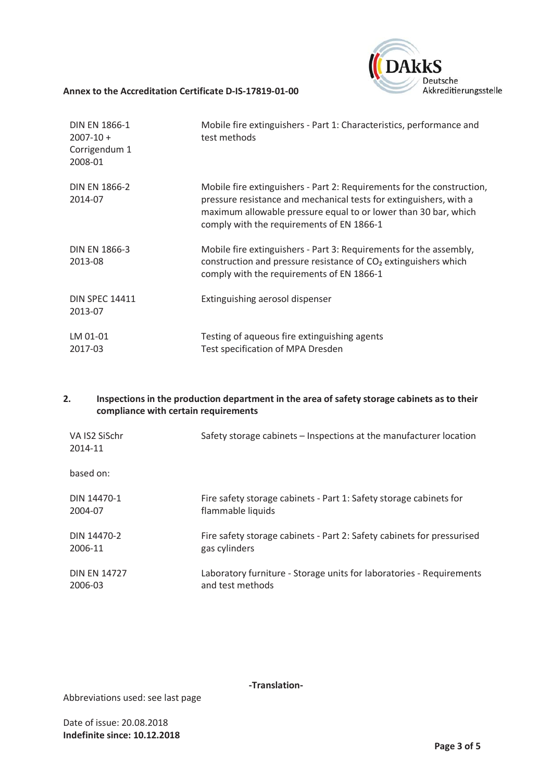

| <b>DIN EN 1866-1</b><br>$2007 - 10 +$<br>Corrigendum 1<br>2008-01 | Mobile fire extinguishers - Part 1: Characteristics, performance and<br>test methods                                                                                                                                                                         |
|-------------------------------------------------------------------|--------------------------------------------------------------------------------------------------------------------------------------------------------------------------------------------------------------------------------------------------------------|
| <b>DIN EN 1866-2</b><br>2014-07                                   | Mobile fire extinguishers - Part 2: Requirements for the construction,<br>pressure resistance and mechanical tests for extinguishers, with a<br>maximum allowable pressure equal to or lower than 30 bar, which<br>comply with the requirements of EN 1866-1 |
| <b>DIN EN 1866-3</b><br>2013-08                                   | Mobile fire extinguishers - Part 3: Requirements for the assembly,<br>construction and pressure resistance of CO <sub>2</sub> extinguishers which<br>comply with the requirements of EN 1866-1                                                               |
| <b>DIN SPEC 14411</b><br>2013-07                                  | Extinguishing aerosol dispenser                                                                                                                                                                                                                              |
| LM 01-01<br>2017-03                                               | Testing of aqueous fire extinguishing agents<br>Test specification of MPA Dresden                                                                                                                                                                            |

#### $2.$ Inspections in the production department in the area of safety storage cabinets as to their compliance with certain requirements

| VA IS2 SiSchr<br>2014-11 | Safety storage cabinets – Inspections at the manufacturer location     |
|--------------------------|------------------------------------------------------------------------|
| based on:                |                                                                        |
| DIN 14470-1              | Fire safety storage cabinets - Part 1: Safety storage cabinets for     |
| 2004-07                  | flammable liquids                                                      |
| DIN 14470-2              | Fire safety storage cabinets - Part 2: Safety cabinets for pressurised |
| 2006-11                  | gas cylinders                                                          |
| <b>DIN EN 14727</b>      | Laboratory furniture - Storage units for laboratories - Requirements   |
| 2006-03                  | and test methods                                                       |

-Translation-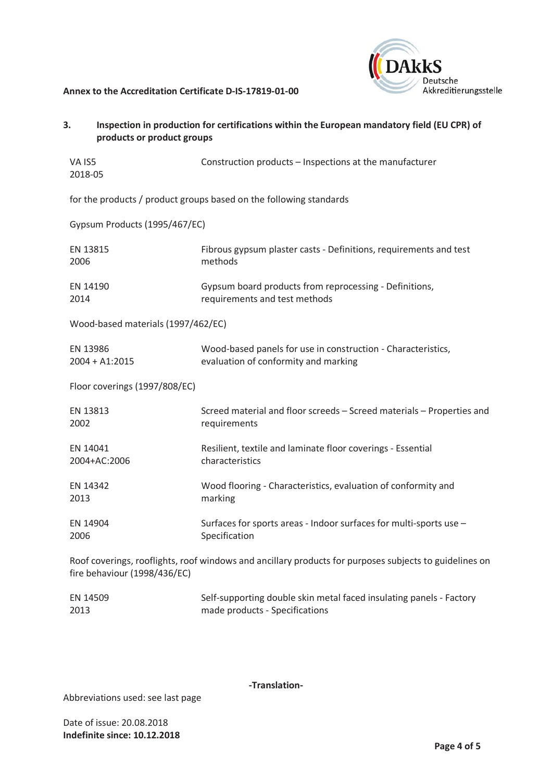

| 3.<br>products or product groups                                                                                                       | Inspection in production for certifications within the European mandatory field (EU CPR) of          |  |
|----------------------------------------------------------------------------------------------------------------------------------------|------------------------------------------------------------------------------------------------------|--|
| VA IS5<br>2018-05                                                                                                                      | Construction products - Inspections at the manufacturer                                              |  |
| for the products / product groups based on the following standards                                                                     |                                                                                                      |  |
| Gypsum Products (1995/467/EC)                                                                                                          |                                                                                                      |  |
| EN 13815<br>2006                                                                                                                       | Fibrous gypsum plaster casts - Definitions, requirements and test<br>methods                         |  |
| EN 14190<br>2014                                                                                                                       | Gypsum board products from reprocessing - Definitions,<br>requirements and test methods              |  |
| Wood-based materials (1997/462/EC)                                                                                                     |                                                                                                      |  |
| EN 13986<br>$2004 + A1:2015$                                                                                                           | Wood-based panels for use in construction - Characteristics,<br>evaluation of conformity and marking |  |
| Floor coverings (1997/808/EC)                                                                                                          |                                                                                                      |  |
| EN 13813<br>2002                                                                                                                       | Screed material and floor screeds - Screed materials - Properties and<br>requirements                |  |
| EN 14041<br>2004+AC:2006                                                                                                               | Resilient, textile and laminate floor coverings - Essential<br>characteristics                       |  |
| EN 14342<br>2013                                                                                                                       | Wood flooring - Characteristics, evaluation of conformity and<br>marking                             |  |
| EN 14904<br>2006                                                                                                                       | Surfaces for sports areas - Indoor surfaces for multi-sports use -<br>Specification                  |  |
| Roof coverings, rooflights, roof windows and ancillary products for purposes subjects to guidelines on<br>fire behaviour (1998/436/EC) |                                                                                                      |  |
|                                                                                                                                        |                                                                                                      |  |

| EN 14509 | Self-supporting double skin metal faced insulating panels - Factory |
|----------|---------------------------------------------------------------------|
| 2013     | made products - Specifications                                      |

-Translation-